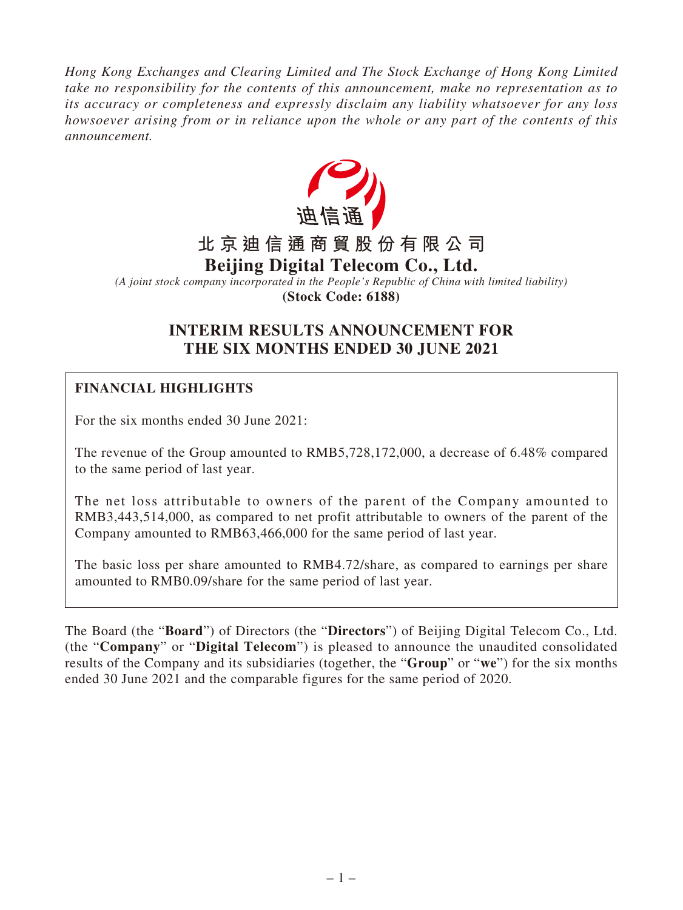*Hong Kong Exchanges and Clearing Limited and The Stock Exchange of Hong Kong Limited take no responsibility for the contents of this announcement, make no representation as to its accuracy or completeness and expressly disclaim any liability whatsoever for any loss howsoever arising from or in reliance upon the whole or any part of the contents of this announcement.*



*(A joint stock company incorporated in the People's Republic of China with limited liability)* **(Stock Code: 6188)**

# **INTERIM RESULTS ANNOUNCEMENT FOR THE SIX MONTHS ENDED 30 JUNE 2021**

# **FINANCIAL HIGHLIGHTS**

For the six months ended 30 June 2021:

The revenue of the Group amounted to RMB5,728,172,000, a decrease of 6.48% compared to the same period of last year.

The net loss attributable to owners of the parent of the Company amounted to RMB3,443,514,000, as compared to net profit attributable to owners of the parent of the Company amounted to RMB63,466,000 for the same period of last year.

The basic loss per share amounted to RMB4.72/share, as compared to earnings per share amounted to RMB0.09/share for the same period of last year.

The Board (the "**Board**") of Directors (the "**Directors**") of Beijing Digital Telecom Co., Ltd. (the "**Company**" or "**Digital Telecom**") is pleased to announce the unaudited consolidated results of the Company and its subsidiaries (together, the "**Group**" or "**we**") for the six months ended 30 June 2021 and the comparable figures for the same period of 2020.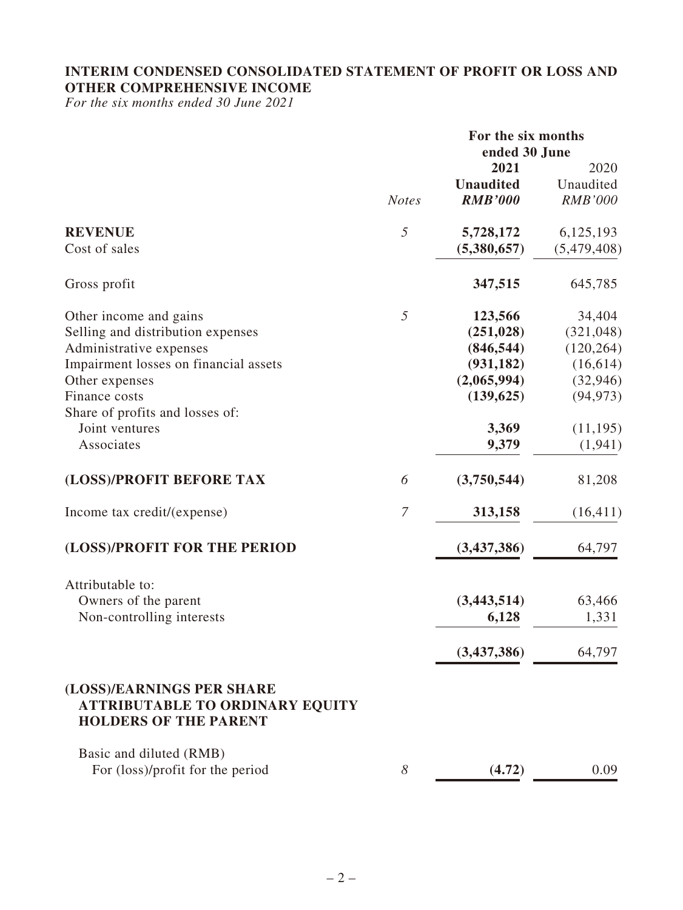## **INTERIM CONDENSED CONSOLIDATED STATEMENT OF PROFIT OR LOSS AND OTHER COMPREHENSIVE INCOME**

*For the six months ended 30 June 2021*

|                                                                                                     |                | For the six months<br>ended 30 June |                |
|-----------------------------------------------------------------------------------------------------|----------------|-------------------------------------|----------------|
|                                                                                                     |                | 2021                                | 2020           |
|                                                                                                     |                | <b>Unaudited</b>                    | Unaudited      |
|                                                                                                     | <b>Notes</b>   | <b>RMB'000</b>                      | <b>RMB'000</b> |
| <b>REVENUE</b>                                                                                      | $\mathfrak{H}$ | 5,728,172                           | 6,125,193      |
| Cost of sales                                                                                       |                | (5,380,657)                         | (5,479,408)    |
| Gross profit                                                                                        |                | 347,515                             | 645,785        |
| Other income and gains                                                                              | 5              | 123,566                             | 34,404         |
| Selling and distribution expenses                                                                   |                | (251, 028)                          | (321, 048)     |
| Administrative expenses                                                                             |                | (846, 544)                          | (120, 264)     |
| Impairment losses on financial assets                                                               |                | (931, 182)                          | (16, 614)      |
| Other expenses                                                                                      |                | (2,065,994)                         | (32, 946)      |
| Finance costs                                                                                       |                | (139, 625)                          | (94, 973)      |
| Share of profits and losses of:                                                                     |                |                                     |                |
| Joint ventures                                                                                      |                | 3,369                               | (11, 195)      |
| Associates                                                                                          |                | 9,379                               | (1, 941)       |
| (LOSS)/PROFIT BEFORE TAX                                                                            | 6              | (3,750,544)                         | 81,208         |
| Income tax credit/(expense)                                                                         | $\overline{7}$ | 313,158                             | (16, 411)      |
| (LOSS)/PROFIT FOR THE PERIOD                                                                        |                | (3,437,386)                         | 64,797         |
| Attributable to:                                                                                    |                |                                     |                |
| Owners of the parent                                                                                |                | (3,443,514)                         | 63,466         |
| Non-controlling interests                                                                           |                | 6,128                               | 1,331          |
|                                                                                                     |                | (3,437,386)                         | 64,797         |
| (LOSS)/EARNINGS PER SHARE<br><b>ATTRIBUTABLE TO ORDINARY EQUITY</b><br><b>HOLDERS OF THE PARENT</b> |                |                                     |                |
| Basic and diluted (RMB)<br>For (loss)/profit for the period                                         | 8              | (4.72)                              | 0.09           |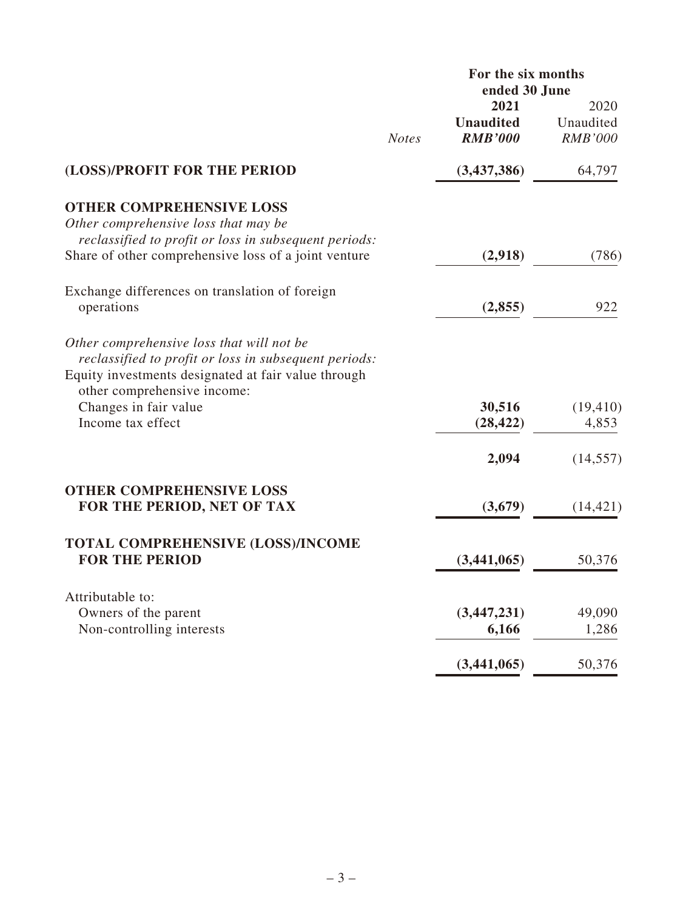|                                                                                                                                                           |              | For the six months<br>ended 30 June        |                                     |
|-----------------------------------------------------------------------------------------------------------------------------------------------------------|--------------|--------------------------------------------|-------------------------------------|
|                                                                                                                                                           | <b>Notes</b> | 2021<br><b>Unaudited</b><br><b>RMB'000</b> | 2020<br>Unaudited<br><b>RMB'000</b> |
| (LOSS)/PROFIT FOR THE PERIOD                                                                                                                              |              | (3,437,386)                                | 64,797                              |
| <b>OTHER COMPREHENSIVE LOSS</b><br>Other comprehensive loss that may be<br>reclassified to profit or loss in subsequent periods:                          |              |                                            |                                     |
| Share of other comprehensive loss of a joint venture                                                                                                      |              | (2,918)                                    | (786)                               |
| Exchange differences on translation of foreign<br>operations                                                                                              |              | (2,855)                                    | 922                                 |
| Other comprehensive loss that will not be<br>reclassified to profit or loss in subsequent periods:<br>Equity investments designated at fair value through |              |                                            |                                     |
| other comprehensive income:<br>Changes in fair value<br>Income tax effect                                                                                 |              | 30,516<br>(28, 422)                        | (19, 410)<br>4,853                  |
|                                                                                                                                                           |              | 2,094                                      | (14, 557)                           |
| <b>OTHER COMPREHENSIVE LOSS</b><br>FOR THE PERIOD, NET OF TAX                                                                                             |              | (3,679)                                    | (14, 421)                           |
| TOTAL COMPREHENSIVE (LOSS)/INCOME<br><b>FOR THE PERIOD</b>                                                                                                |              | (3,441,065)                                | 50,376                              |
| Attributable to:                                                                                                                                          |              |                                            |                                     |
| Owners of the parent<br>Non-controlling interests                                                                                                         |              | (3, 447, 231)<br>6,166                     | 49,090<br>1,286                     |
|                                                                                                                                                           |              | (3,441,065)                                | 50,376                              |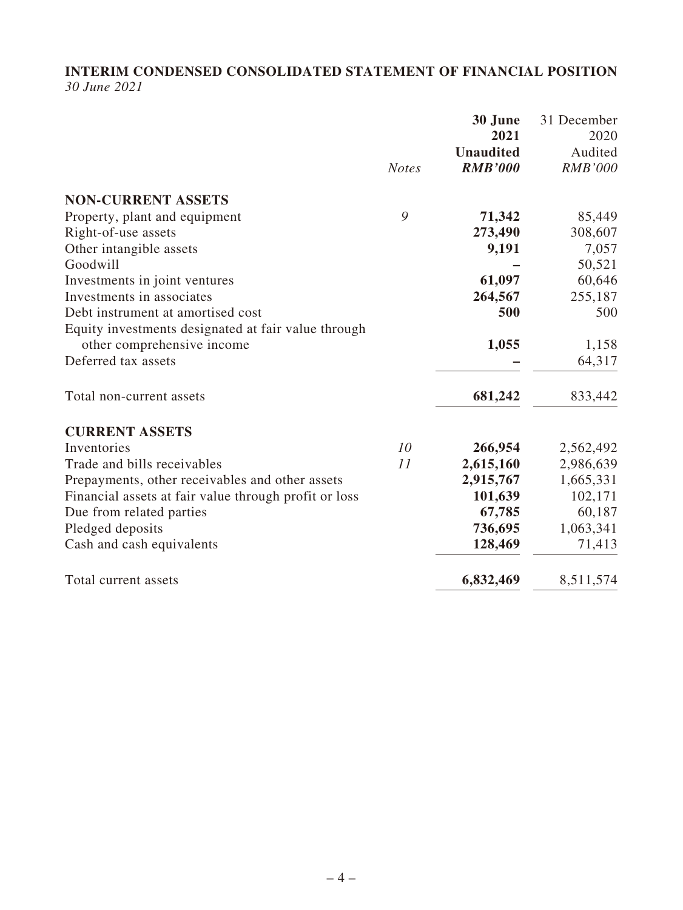### **INTERIM CONDENSED CONSOLIDATED STATEMENT OF FINANCIAL POSITION** *30 June 2021*

|                                                       | <b>Notes</b> | 30 June<br>2021<br><b>Unaudited</b><br><b>RMB'000</b> | 31 December<br>2020<br>Audited<br><b>RMB'000</b> |
|-------------------------------------------------------|--------------|-------------------------------------------------------|--------------------------------------------------|
| <b>NON-CURRENT ASSETS</b>                             |              |                                                       |                                                  |
| Property, plant and equipment                         | 9            | 71,342                                                | 85,449                                           |
| Right-of-use assets                                   |              | 273,490                                               | 308,607                                          |
| Other intangible assets                               |              | 9,191                                                 | 7,057                                            |
| Goodwill                                              |              |                                                       | 50,521                                           |
| Investments in joint ventures                         |              | 61,097                                                | 60,646                                           |
| Investments in associates                             |              | 264,567                                               | 255,187                                          |
| Debt instrument at amortised cost                     |              | 500                                                   | 500                                              |
| Equity investments designated at fair value through   |              |                                                       |                                                  |
| other comprehensive income                            |              | 1,055                                                 | 1,158                                            |
| Deferred tax assets                                   |              |                                                       | 64,317                                           |
| Total non-current assets                              |              | 681,242                                               | 833,442                                          |
| <b>CURRENT ASSETS</b>                                 |              |                                                       |                                                  |
| Inventories                                           | 10           | 266,954                                               | 2,562,492                                        |
| Trade and bills receivables                           | 11           | 2,615,160                                             | 2,986,639                                        |
| Prepayments, other receivables and other assets       |              | 2,915,767                                             | 1,665,331                                        |
| Financial assets at fair value through profit or loss |              | 101,639                                               | 102,171                                          |
| Due from related parties                              |              | 67,785                                                | 60,187                                           |
| Pledged deposits                                      |              | 736,695                                               | 1,063,341                                        |
| Cash and cash equivalents                             |              | 128,469                                               | 71,413                                           |
| Total current assets                                  |              | 6,832,469                                             | 8,511,574                                        |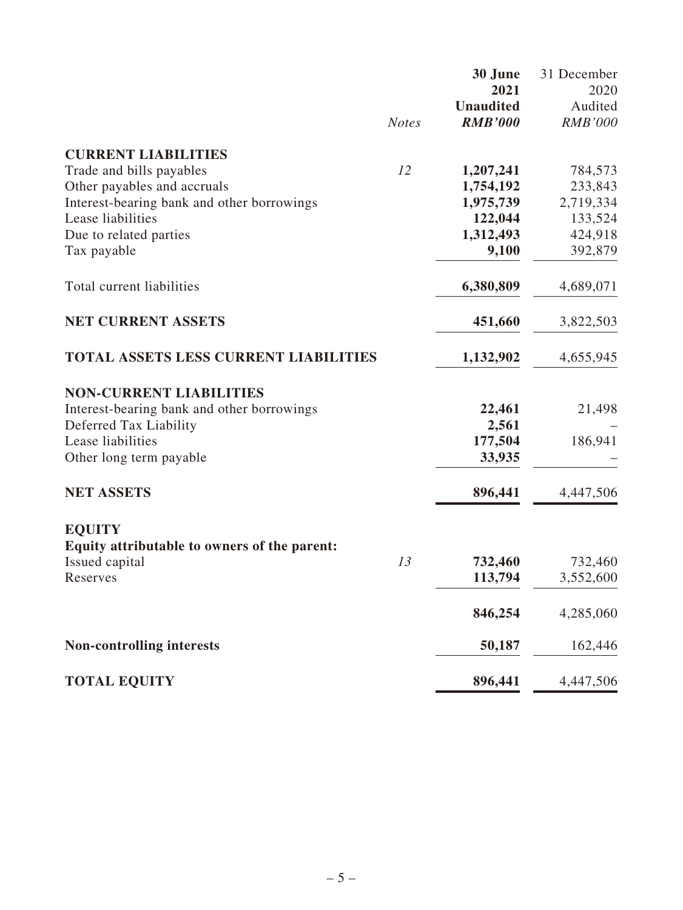|                                                         |              | 30 June                  | 31 December        |
|---------------------------------------------------------|--------------|--------------------------|--------------------|
|                                                         |              | 2021<br><b>Unaudited</b> | 2020<br>Audited    |
|                                                         | <b>Notes</b> | <b>RMB'000</b>           | <b>RMB'000</b>     |
|                                                         |              |                          |                    |
| <b>CURRENT LIABILITIES</b>                              | 12           |                          |                    |
| Trade and bills payables<br>Other payables and accruals |              | 1,207,241<br>1,754,192   | 784,573<br>233,843 |
| Interest-bearing bank and other borrowings              |              | 1,975,739                | 2,719,334          |
| Lease liabilities                                       |              | 122,044                  | 133,524            |
| Due to related parties                                  |              | 1,312,493                | 424,918            |
| Tax payable                                             |              | 9,100                    | 392,879            |
| Total current liabilities                               |              | 6,380,809                | 4,689,071          |
| <b>NET CURRENT ASSETS</b>                               |              | 451,660                  | 3,822,503          |
|                                                         |              |                          |                    |
| TOTAL ASSETS LESS CURRENT LIABILITIES                   |              | 1,132,902                | 4,655,945          |
| <b>NON-CURRENT LIABILITIES</b>                          |              |                          |                    |
| Interest-bearing bank and other borrowings              |              | 22,461                   | 21,498             |
| Deferred Tax Liability                                  |              | 2,561                    |                    |
| Lease liabilities                                       |              | 177,504                  | 186,941            |
| Other long term payable                                 |              | 33,935                   |                    |
| <b>NET ASSETS</b>                                       |              | 896,441                  | 4,447,506          |
| <b>EQUITY</b>                                           |              |                          |                    |
| Equity attributable to owners of the parent:            |              |                          |                    |
| Issued capital                                          | 13           | 732,460                  | 732,460            |
| Reserves                                                |              | 113,794                  | 3,552,600          |
|                                                         |              | 846,254                  | 4,285,060          |
| <b>Non-controlling interests</b>                        |              | 50,187                   | 162,446            |
| <b>TOTAL EQUITY</b>                                     |              | 896,441                  | 4,447,506          |
|                                                         |              |                          |                    |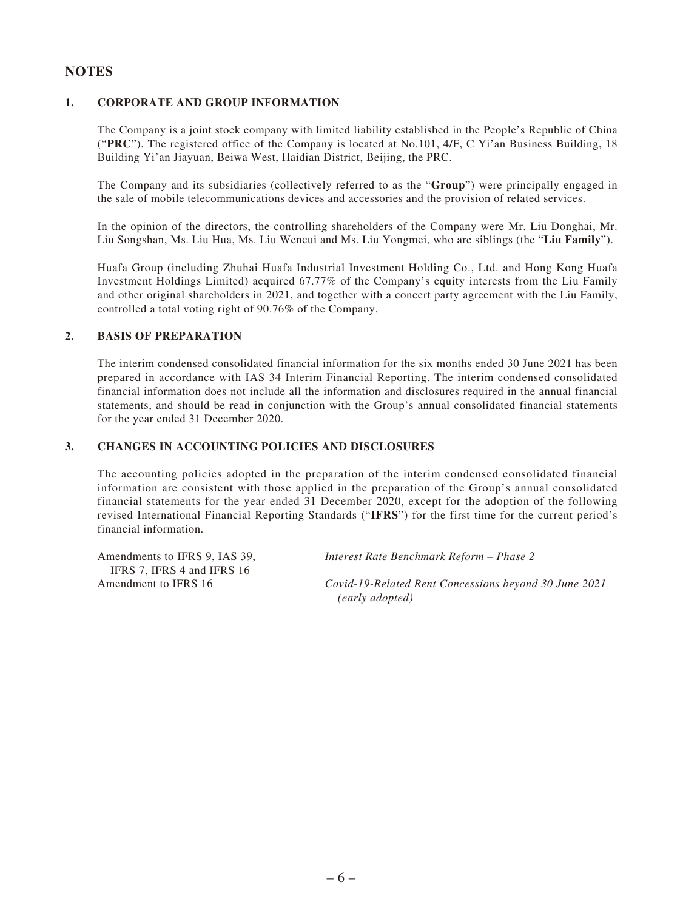#### **NOTES**

#### **1. CORPORATE AND GROUP INFORMATION**

The Company is a joint stock company with limited liability established in the People's Republic of China ("**PRC**"). The registered office of the Company is located at No.101, 4/F, C Yi'an Business Building, 18 Building Yi'an Jiayuan, Beiwa West, Haidian District, Beijing, the PRC.

The Company and its subsidiaries (collectively referred to as the "**Group**") were principally engaged in the sale of mobile telecommunications devices and accessories and the provision of related services.

In the opinion of the directors, the controlling shareholders of the Company were Mr. Liu Donghai, Mr. Liu Songshan, Ms. Liu Hua, Ms. Liu Wencui and Ms. Liu Yongmei, who are siblings (the "**Liu Family**").

Huafa Group (including Zhuhai Huafa Industrial Investment Holding Co., Ltd. and Hong Kong Huafa Investment Holdings Limited) acquired 67.77% of the Company's equity interests from the Liu Family and other original shareholders in 2021, and together with a concert party agreement with the Liu Family, controlled a total voting right of 90.76% of the Company.

#### **2. BASIS OF PREPARATION**

The interim condensed consolidated financial information for the six months ended 30 June 2021 has been prepared in accordance with IAS 34 Interim Financial Reporting. The interim condensed consolidated financial information does not include all the information and disclosures required in the annual financial statements, and should be read in conjunction with the Group's annual consolidated financial statements for the year ended 31 December 2020.

#### **3. CHANGES IN ACCOUNTING POLICIES AND DISCLOSURES**

The accounting policies adopted in the preparation of the interim condensed consolidated financial information are consistent with those applied in the preparation of the Group's annual consolidated financial statements for the year ended 31 December 2020, except for the adoption of the following revised International Financial Reporting Standards ("**IFRS**") for the first time for the current period's financial information.

Amendments to IFRS 9, IAS 39, IFRS 7, IFRS 4 and IFRS 16

*Interest Rate Benchmark Reform – Phase 2*

Amendment to IFRS 16 *Covid-19-Related Rent Concessions beyond 30 June 2021 (early adopted)*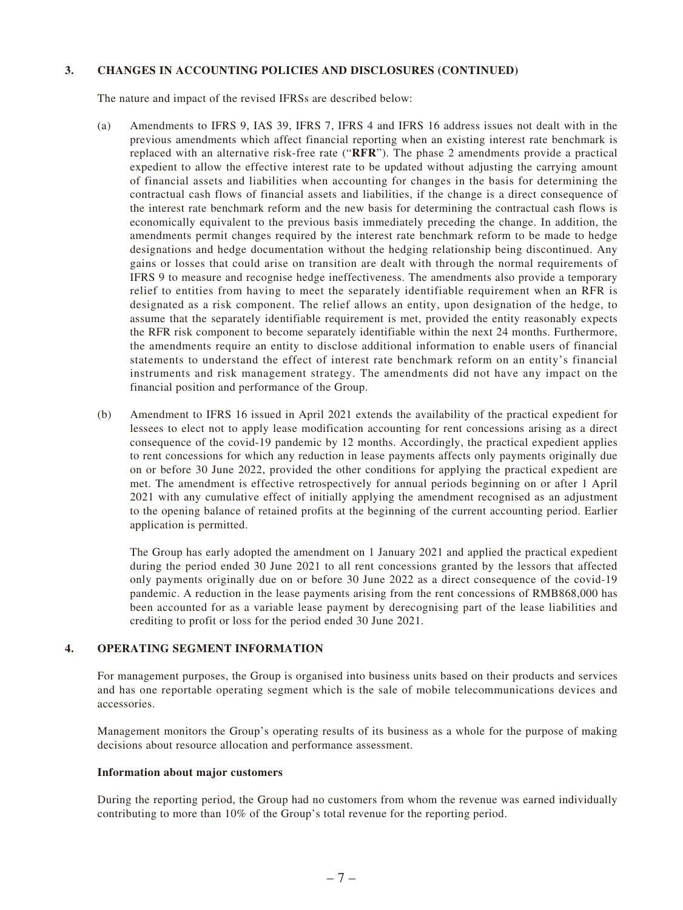#### **3. CHANGES IN ACCOUNTING POLICIES AND DISCLOSURES (CONTINUED)**

The nature and impact of the revised IFRSs are described below:

- (a) Amendments to IFRS 9, IAS 39, IFRS 7, IFRS 4 and IFRS 16 address issues not dealt with in the previous amendments which affect financial reporting when an existing interest rate benchmark is replaced with an alternative risk-free rate ("**RFR**"). The phase 2 amendments provide a practical expedient to allow the effective interest rate to be updated without adjusting the carrying amount of financial assets and liabilities when accounting for changes in the basis for determining the contractual cash flows of financial assets and liabilities, if the change is a direct consequence of the interest rate benchmark reform and the new basis for determining the contractual cash flows is economically equivalent to the previous basis immediately preceding the change. In addition, the amendments permit changes required by the interest rate benchmark reform to be made to hedge designations and hedge documentation without the hedging relationship being discontinued. Any gains or losses that could arise on transition are dealt with through the normal requirements of IFRS 9 to measure and recognise hedge ineffectiveness. The amendments also provide a temporary relief to entities from having to meet the separately identifiable requirement when an RFR is designated as a risk component. The relief allows an entity, upon designation of the hedge, to assume that the separately identifiable requirement is met, provided the entity reasonably expects the RFR risk component to become separately identifiable within the next 24 months. Furthermore, the amendments require an entity to disclose additional information to enable users of financial statements to understand the effect of interest rate benchmark reform on an entity's financial instruments and risk management strategy. The amendments did not have any impact on the financial position and performance of the Group.
- (b) Amendment to IFRS 16 issued in April 2021 extends the availability of the practical expedient for lessees to elect not to apply lease modification accounting for rent concessions arising as a direct consequence of the covid-19 pandemic by 12 months. Accordingly, the practical expedient applies to rent concessions for which any reduction in lease payments affects only payments originally due on or before 30 June 2022, provided the other conditions for applying the practical expedient are met. The amendment is effective retrospectively for annual periods beginning on or after 1 April 2021 with any cumulative effect of initially applying the amendment recognised as an adjustment to the opening balance of retained profits at the beginning of the current accounting period. Earlier application is permitted.

The Group has early adopted the amendment on 1 January 2021 and applied the practical expedient during the period ended 30 June 2021 to all rent concessions granted by the lessors that affected only payments originally due on or before 30 June 2022 as a direct consequence of the covid-19 pandemic. A reduction in the lease payments arising from the rent concessions of RMB868,000 has been accounted for as a variable lease payment by derecognising part of the lease liabilities and crediting to profit or loss for the period ended 30 June 2021.

#### **4. OPERATING SEGMENT INFORMATION**

For management purposes, the Group is organised into business units based on their products and services and has one reportable operating segment which is the sale of mobile telecommunications devices and accessories.

Management monitors the Group's operating results of its business as a whole for the purpose of making decisions about resource allocation and performance assessment.

#### **Information about major customers**

During the reporting period, the Group had no customers from whom the revenue was earned individually contributing to more than 10% of the Group's total revenue for the reporting period.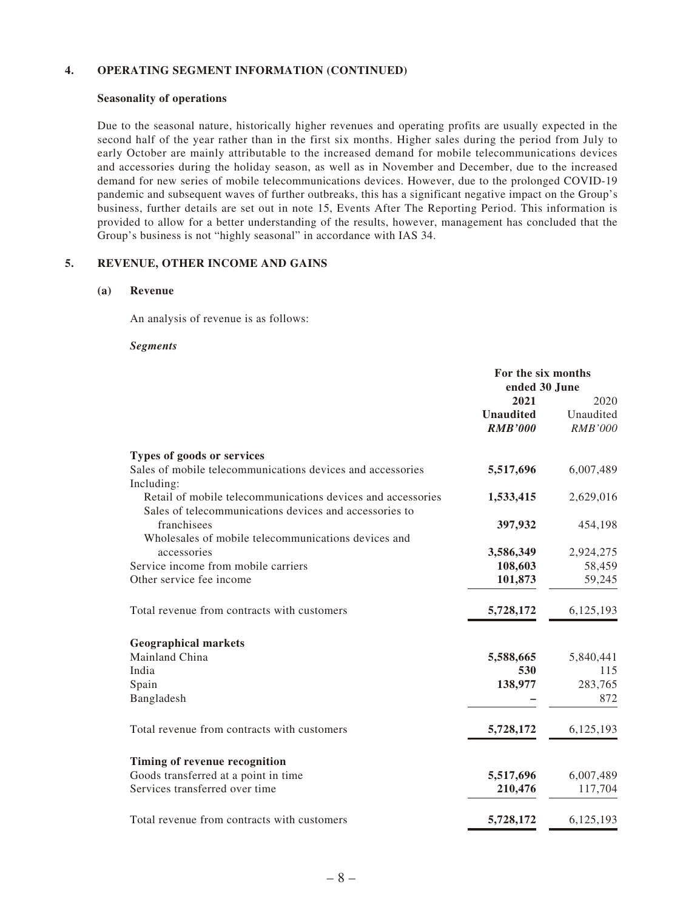#### **4. OPERATING SEGMENT INFORMATION (CONTINUED)**

#### **Seasonality of operations**

Due to the seasonal nature, historically higher revenues and operating profits are usually expected in the second half of the year rather than in the first six months. Higher sales during the period from July to early October are mainly attributable to the increased demand for mobile telecommunications devices and accessories during the holiday season, as well as in November and December, due to the increased demand for new series of mobile telecommunications devices. However, due to the prolonged COVID-19 pandemic and subsequent waves of further outbreaks, this has a significant negative impact on the Group's business, further details are set out in note 15, Events After The Reporting Period. This information is provided to allow for a better understanding of the results, however, management has concluded that the Group's business is not "highly seasonal" in accordance with IAS 34.

#### **5. REVENUE, OTHER INCOME AND GAINS**

#### **(a) Revenue**

An analysis of revenue is as follows:

#### *Segments*

|                                                             | For the six months<br>ended 30 June |                |
|-------------------------------------------------------------|-------------------------------------|----------------|
|                                                             | 2021                                | 2020           |
|                                                             | <b>Unaudited</b>                    | Unaudited      |
|                                                             | <b>RMB'000</b>                      | <b>RMB'000</b> |
| Types of goods or services                                  |                                     |                |
| Sales of mobile telecommunications devices and accessories  | 5,517,696                           | 6,007,489      |
| Including:                                                  |                                     |                |
| Retail of mobile telecommunications devices and accessories | 1,533,415                           | 2,629,016      |
| Sales of telecommunications devices and accessories to      |                                     |                |
| franchisees                                                 | 397,932                             | 454,198        |
| Wholesales of mobile telecommunications devices and         |                                     |                |
| accessories                                                 | 3,586,349                           | 2,924,275      |
| Service income from mobile carriers                         | 108,603                             | 58,459         |
| Other service fee income                                    | 101,873                             | 59,245         |
|                                                             |                                     |                |
| Total revenue from contracts with customers                 | 5,728,172                           | 6,125,193      |
| <b>Geographical markets</b>                                 |                                     |                |
| Mainland China                                              | 5,588,665                           | 5,840,441      |
| India                                                       | 530                                 | 115            |
| Spain                                                       | 138,977                             | 283,765        |
| Bangladesh                                                  |                                     | 872            |
|                                                             |                                     |                |
| Total revenue from contracts with customers                 | 5,728,172                           | 6,125,193      |
|                                                             |                                     |                |
| Timing of revenue recognition                               |                                     |                |
| Goods transferred at a point in time                        | 5,517,696                           | 6,007,489      |
| Services transferred over time                              | 210,476                             | 117,704        |
|                                                             |                                     |                |
| Total revenue from contracts with customers                 | 5,728,172                           | 6,125,193      |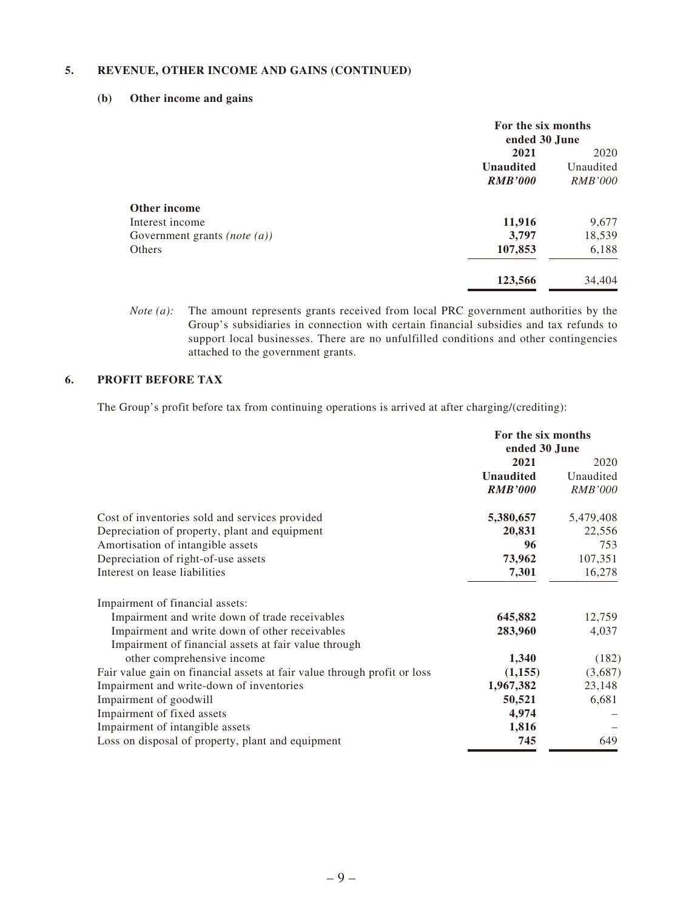#### **5. REVENUE, OTHER INCOME AND GAINS (CONTINUED)**

#### **(b) Other income and gains**

|                                 | For the six months<br>ended 30 June |                |
|---------------------------------|-------------------------------------|----------------|
|                                 | 2021                                | 2020           |
|                                 | <b>Unaudited</b>                    | Unaudited      |
|                                 | <b>RMB'000</b>                      | <i>RMB'000</i> |
| Other income                    |                                     |                |
| Interest income                 | 11,916                              | 9,677          |
| Government grants (note $(a)$ ) | 3,797                               | 18,539         |
| Others                          | 107,853                             | 6,188          |
|                                 | 123,566                             | 34,404         |

*Note (a):* The amount represents grants received from local PRC government authorities by the Group's subsidiaries in connection with certain financial subsidies and tax refunds to support local businesses. There are no unfulfilled conditions and other contingencies attached to the government grants.

#### **6. PROFIT BEFORE TAX**

The Group's profit before tax from continuing operations is arrived at after charging/(crediting):

|                                                                          | For the six months<br>ended 30 June |                |
|--------------------------------------------------------------------------|-------------------------------------|----------------|
|                                                                          | 2021                                | 2020           |
|                                                                          | <b>Unaudited</b>                    | Unaudited      |
|                                                                          | <b>RMB'000</b>                      | <i>RMB'000</i> |
| Cost of inventories sold and services provided                           | 5,380,657                           | 5,479,408      |
| Depreciation of property, plant and equipment                            | 20,831                              | 22,556         |
| Amortisation of intangible assets                                        | 96                                  | 753            |
| Depreciation of right-of-use assets                                      | 73,962                              | 107,351        |
| Interest on lease liabilities                                            | 7,301                               | 16,278         |
| Impairment of financial assets:                                          |                                     |                |
| Impairment and write down of trade receivables                           | 645,882                             | 12,759         |
| Impairment and write down of other receivables                           | 283,960                             | 4,037          |
| Impairment of financial assets at fair value through                     |                                     |                |
| other comprehensive income                                               | 1,340                               | (182)          |
| Fair value gain on financial assets at fair value through profit or loss | (1, 155)                            | (3,687)        |
| Impairment and write-down of inventories                                 | 1,967,382                           | 23,148         |
| Impairment of goodwill                                                   | 50,521                              | 6,681          |
| Impairment of fixed assets                                               | 4,974                               |                |
| Impairment of intangible assets                                          | 1,816                               |                |
| Loss on disposal of property, plant and equipment                        | 745                                 | 649            |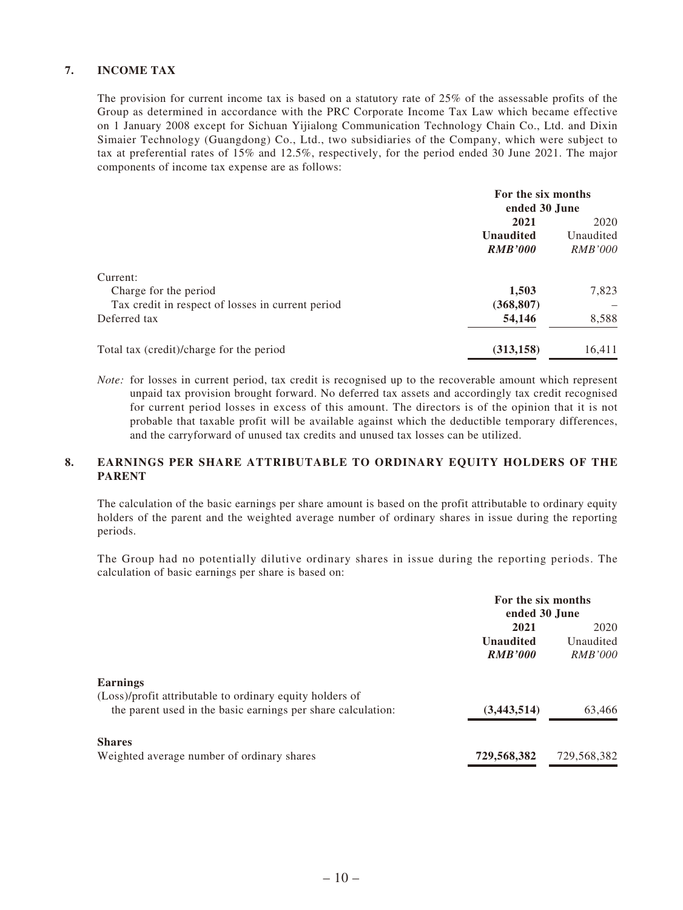#### **7. INCOME TAX**

The provision for current income tax is based on a statutory rate of 25% of the assessable profits of the Group as determined in accordance with the PRC Corporate Income Tax Law which became effective on 1 January 2008 except for Sichuan Yijialong Communication Technology Chain Co., Ltd. and Dixin Simaier Technology (Guangdong) Co., Ltd., two subsidiaries of the Company, which were subject to tax at preferential rates of 15% and 12.5%, respectively, for the period ended 30 June 2021. The major components of income tax expense are as follows:

|                                                   | For the six months<br>ended 30 June |                |
|---------------------------------------------------|-------------------------------------|----------------|
|                                                   | 2021                                | 2020           |
|                                                   | <b>Unaudited</b>                    | Unaudited      |
|                                                   | <b>RMB'000</b>                      | <i>RMB'000</i> |
| Current:                                          |                                     |                |
| Charge for the period                             | 1,503                               | 7,823          |
| Tax credit in respect of losses in current period | (368, 807)                          |                |
| Deferred tax                                      | 54,146                              | 8,588          |
| Total tax (credit)/charge for the period          | (313, 158)                          | 16,411         |

*Note:* for losses in current period, tax credit is recognised up to the recoverable amount which represent unpaid tax provision brought forward. No deferred tax assets and accordingly tax credit recognised for current period losses in excess of this amount. The directors is of the opinion that it is not probable that taxable profit will be available against which the deductible temporary differences, and the carryforward of unused tax credits and unused tax losses can be utilized.

#### **8. EARNINGS PER SHARE ATTRIBUTABLE TO ORDINARY EQUITY HOLDERS OF THE PARENT**

The calculation of the basic earnings per share amount is based on the profit attributable to ordinary equity holders of the parent and the weighted average number of ordinary shares in issue during the reporting periods.

The Group had no potentially dilutive ordinary shares in issue during the reporting periods. The calculation of basic earnings per share is based on:

|                                                              | For the six months<br>ended 30 June |                |
|--------------------------------------------------------------|-------------------------------------|----------------|
|                                                              | 2021                                | 2020           |
|                                                              | <b>Unaudited</b>                    | Unaudited      |
|                                                              | <b>RMB'000</b>                      | <i>RMB'000</i> |
| <b>Earnings</b>                                              |                                     |                |
| (Loss)/profit attributable to ordinary equity holders of     |                                     |                |
| the parent used in the basic earnings per share calculation: | (3,443,514)                         | 63,466         |
| <b>Shares</b>                                                |                                     |                |
| Weighted average number of ordinary shares                   | 729,568,382                         | 729,568,382    |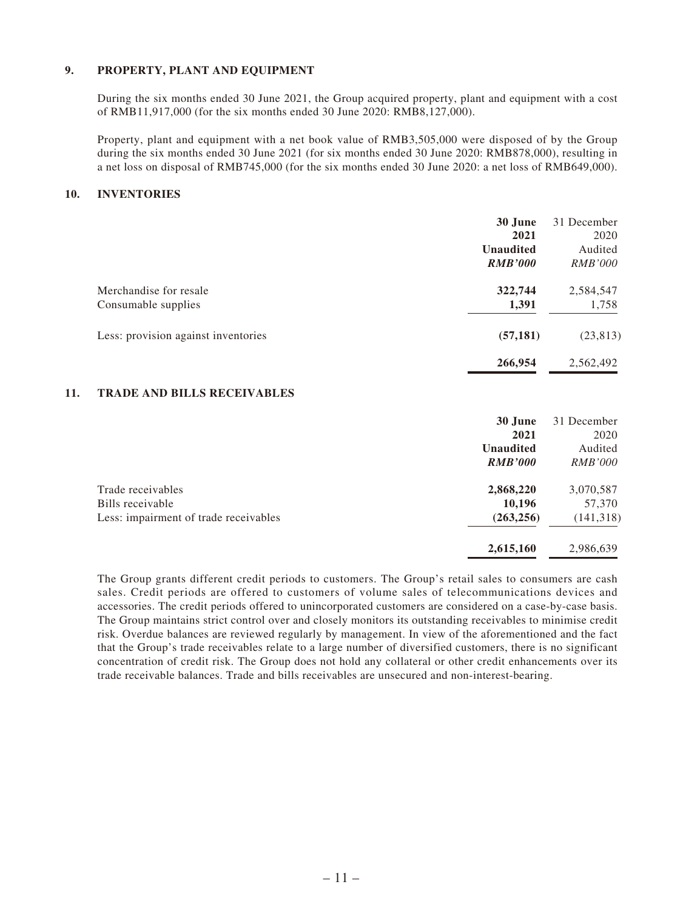#### **9. PROPERTY, PLANT AND EQUIPMENT**

During the six months ended 30 June 2021, the Group acquired property, plant and equipment with a cost of RMB11,917,000 (for the six months ended 30 June 2020: RMB8,127,000).

Property, plant and equipment with a net book value of RMB3,505,000 were disposed of by the Group during the six months ended 30 June 2021 (for six months ended 30 June 2020: RMB878,000), resulting in a net loss on disposal of RMB745,000 (for the six months ended 30 June 2020: a net loss of RMB649,000).

#### **10. INVENTORIES**

|                                     | 30 June          | 31 December    |
|-------------------------------------|------------------|----------------|
|                                     | 2021             | 2020           |
|                                     | <b>Unaudited</b> | Audited        |
|                                     | <b>RMB'000</b>   | <i>RMB'000</i> |
| Merchandise for resale              | 322,744          | 2,584,547      |
| Consumable supplies                 | 1,391            | 1,758          |
| Less: provision against inventories | (57, 181)        | (23, 813)      |
|                                     | 266,954          | 2,562,492      |

#### **11. TRADE AND BILLS RECEIVABLES**

|                                       | 30 June          | 31 December    |
|---------------------------------------|------------------|----------------|
|                                       | 2021             | 2020           |
|                                       | <b>Unaudited</b> | Audited        |
|                                       | <b>RMB'000</b>   | <i>RMB'000</i> |
| Trade receivables                     | 2,868,220        | 3,070,587      |
| Bills receivable                      | 10,196           | 57,370         |
| Less: impairment of trade receivables | (263, 256)       | (141, 318)     |
|                                       | 2,615,160        | 2,986,639      |

The Group grants different credit periods to customers. The Group's retail sales to consumers are cash sales. Credit periods are offered to customers of volume sales of telecommunications devices and accessories. The credit periods offered to unincorporated customers are considered on a case-by-case basis. The Group maintains strict control over and closely monitors its outstanding receivables to minimise credit risk. Overdue balances are reviewed regularly by management. In view of the aforementioned and the fact that the Group's trade receivables relate to a large number of diversified customers, there is no significant concentration of credit risk. The Group does not hold any collateral or other credit enhancements over its trade receivable balances. Trade and bills receivables are unsecured and non-interest-bearing.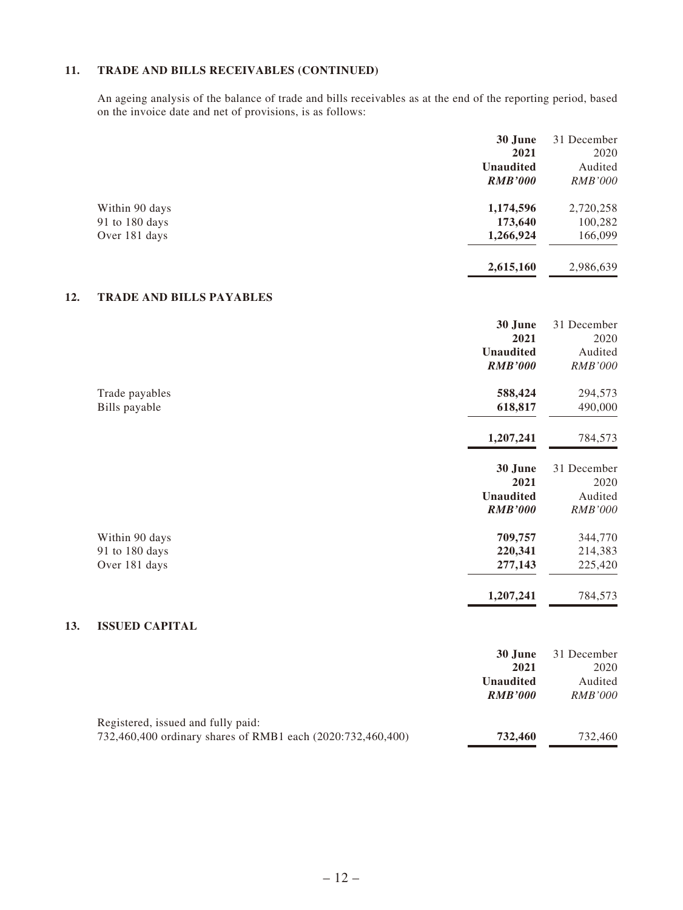#### **11. TRADE AND BILLS RECEIVABLES (CONTINUED)**

An ageing analysis of the balance of trade and bills receivables as at the end of the reporting period, based on the invoice date and net of provisions, is as follows:

|                | 30 June          | 31 December    |
|----------------|------------------|----------------|
|                | 2021             | 2020           |
|                | <b>Unaudited</b> | Audited        |
|                | <b>RMB'000</b>   | <i>RMB'000</i> |
| Within 90 days | 1,174,596        | 2,720,258      |
| 91 to 180 days | 173,640          | 100,282        |
| Over 181 days  | 1,266,924        | 166,099        |
|                | 2,615,160        | 2,986,639      |

#### **12. TRADE AND BILLS PAYABLES**

**13.** 

|                       | 30 June          | 31 December    |
|-----------------------|------------------|----------------|
|                       | 2021             | 2020           |
|                       | <b>Unaudited</b> | Audited        |
|                       | <b>RMB'000</b>   | RMB'000        |
| Trade payables        | 588,424          | 294,573        |
| Bills payable         | 618,817          | 490,000        |
|                       | 1,207,241        | 784,573        |
|                       | 30 June          | 31 December    |
|                       | 2021             | 2020           |
|                       | <b>Unaudited</b> | Audited        |
|                       | <b>RMB'000</b>   | <b>RMB'000</b> |
| Within 90 days        | 709,757          | 344,770        |
| 91 to 180 days        | 220,341          | 214,383        |
| Over 181 days         | 277,143          | 225,420        |
|                       | 1,207,241        | 784,573        |
| <b>ISSUED CAPITAL</b> |                  |                |
|                       | 30 June          | 31 December    |
|                       | 2021             | 2020           |
|                       | <b>Unaudited</b> | Audited        |

| Registered, issued and fully paid:                          |         |         |
|-------------------------------------------------------------|---------|---------|
| 732,460,400 ordinary shares of RMB1 each (2020:732,460,400) | 732,460 | 732,460 |

*RMB'000 RMB'000*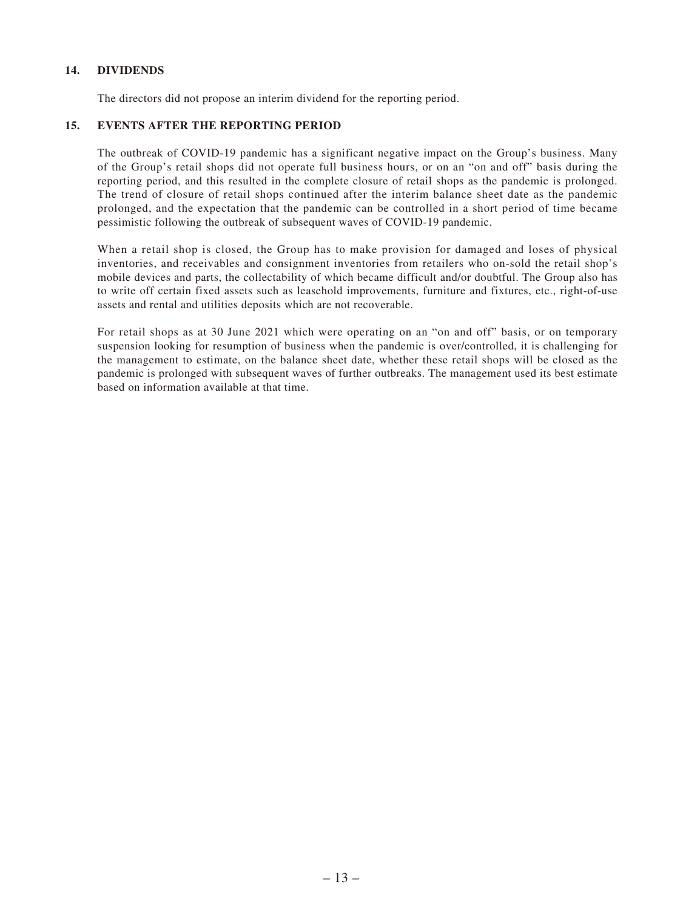#### **14. DIVIDENDS**

The directors did not propose an interim dividend for the reporting period.

#### **15. EVENTS AFTER THE REPORTING PERIOD**

The outbreak of COVID-19 pandemic has a significant negative impact on the Group's business. Many of the Group's retail shops did not operate full business hours, or on an "on and off" basis during the reporting period, and this resulted in the complete closure of retail shops as the pandemic is prolonged. The trend of closure of retail shops continued after the interim balance sheet date as the pandemic prolonged, and the expectation that the pandemic can be controlled in a short period of time became pessimistic following the outbreak of subsequent waves of COVID-19 pandemic.

When a retail shop is closed, the Group has to make provision for damaged and loses of physical inventories, and receivables and consignment inventories from retailers who on-sold the retail shop's mobile devices and parts, the collectability of which became difficult and/or doubtful. The Group also has to write off certain fixed assets such as leasehold improvements, furniture and fixtures, etc., right-of-use assets and rental and utilities deposits which are not recoverable.

For retail shops as at 30 June 2021 which were operating on an "on and off" basis, or on temporary suspension looking for resumption of business when the pandemic is over/controlled, it is challenging for the management to estimate, on the balance sheet date, whether these retail shops will be closed as the pandemic is prolonged with subsequent waves of further outbreaks. The management used its best estimate based on information available at that time.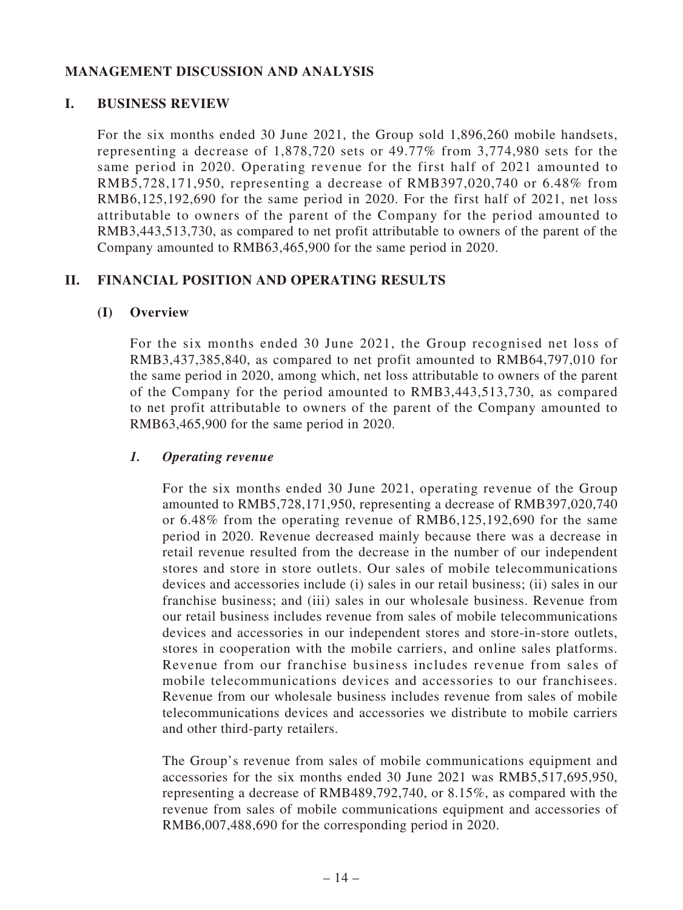# **MANAGEMENT DISCUSSION AND ANALYSIS**

## **I. BUSINESS REVIEW**

For the six months ended 30 June 2021, the Group sold 1,896,260 mobile handsets, representing a decrease of 1,878,720 sets or 49.77% from 3,774,980 sets for the same period in 2020. Operating revenue for the first half of 2021 amounted to RMB5,728,171,950, representing a decrease of RMB397,020,740 or 6.48% from RMB6,125,192,690 for the same period in 2020. For the first half of 2021, net loss attributable to owners of the parent of the Company for the period amounted to RMB3,443,513,730, as compared to net profit attributable to owners of the parent of the Company amounted to RMB63,465,900 for the same period in 2020.

# **II. FINANCIAL POSITION AND OPERATING RESULTS**

### **(I) Overview**

For the six months ended 30 June 2021, the Group recognised net loss of RMB3,437,385,840, as compared to net profit amounted to RMB64,797,010 for the same period in 2020, among which, net loss attributable to owners of the parent of the Company for the period amounted to RMB3,443,513,730, as compared to net profit attributable to owners of the parent of the Company amounted to RMB63,465,900 for the same period in 2020.

## *1. Operating revenue*

For the six months ended 30 June 2021, operating revenue of the Group amounted to RMB5,728,171,950, representing a decrease of RMB397,020,740 or 6.48% from the operating revenue of RMB6,125,192,690 for the same period in 2020. Revenue decreased mainly because there was a decrease in retail revenue resulted from the decrease in the number of our independent stores and store in store outlets. Our sales of mobile telecommunications devices and accessories include (i) sales in our retail business; (ii) sales in our franchise business; and (iii) sales in our wholesale business. Revenue from our retail business includes revenue from sales of mobile telecommunications devices and accessories in our independent stores and store-in-store outlets, stores in cooperation with the mobile carriers, and online sales platforms. Revenue from our franchise business includes revenue from sales of mobile telecommunications devices and accessories to our franchisees. Revenue from our wholesale business includes revenue from sales of mobile telecommunications devices and accessories we distribute to mobile carriers and other third-party retailers.

The Group's revenue from sales of mobile communications equipment and accessories for the six months ended 30 June 2021 was RMB5,517,695,950, representing a decrease of RMB489,792,740, or 8.15%, as compared with the revenue from sales of mobile communications equipment and accessories of RMB6,007,488,690 for the corresponding period in 2020.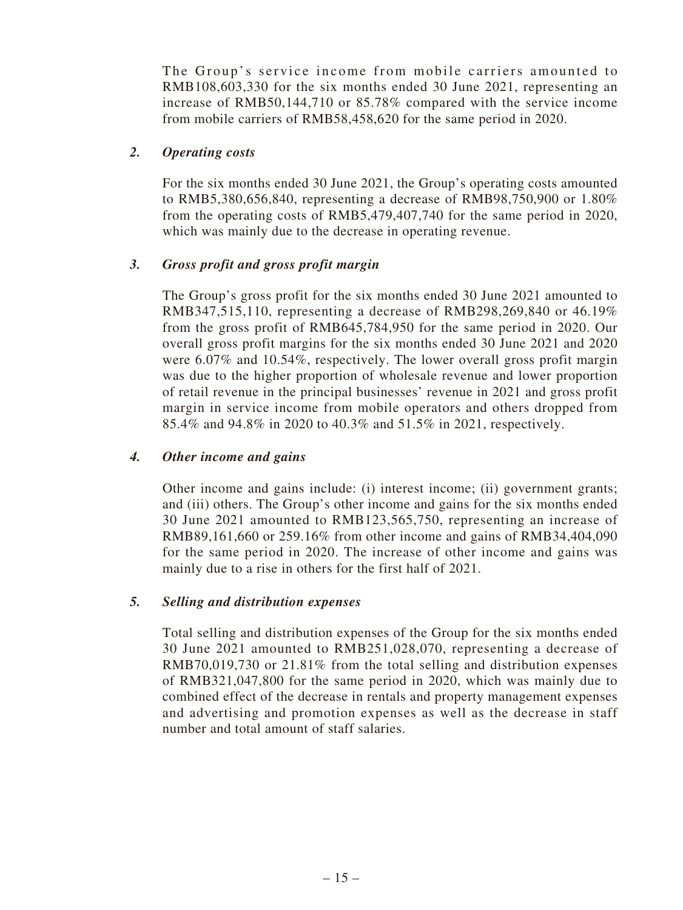The Group's service income from mobile carriers amounted to RMB108,603,330 for the six months ended 30 June 2021, representing an increase of RMB50,144,710 or 85.78% compared with the service income from mobile carriers of RMB58,458,620 for the same period in 2020.

### *2. Operating costs*

For the six months ended 30 June 2021, the Group's operating costs amounted to RMB5,380,656,840, representing a decrease of RMB98,750,900 or 1.80% from the operating costs of RMB5,479,407,740 for the same period in 2020, which was mainly due to the decrease in operating revenue.

### *3. Gross profit and gross profit margin*

The Group's gross profit for the six months ended 30 June 2021 amounted to RMB347,515,110, representing a decrease of RMB298,269,840 or 46.19% from the gross profit of RMB645,784,950 for the same period in 2020. Our overall gross profit margins for the six months ended 30 June 2021 and 2020 were 6.07% and 10.54%, respectively. The lower overall gross profit margin was due to the higher proportion of wholesale revenue and lower proportion of retail revenue in the principal businesses' revenue in 2021 and gross profit margin in service income from mobile operators and others dropped from 85.4% and 94.8% in 2020 to 40.3% and 51.5% in 2021, respectively.

### *4. Other income and gains*

Other income and gains include: (i) interest income; (ii) government grants; and (iii) others. The Group's other income and gains for the six months ended 30 June 2021 amounted to RMB123,565,750, representing an increase of RMB89,161,660 or 259.16% from other income and gains of RMB34,404,090 for the same period in 2020. The increase of other income and gains was mainly due to a rise in others for the first half of 2021.

#### *5. Selling and distribution expenses*

Total selling and distribution expenses of the Group for the six months ended 30 June 2021 amounted to RMB251,028,070, representing a decrease of RMB70,019,730 or 21.81% from the total selling and distribution expenses of RMB321,047,800 for the same period in 2020, which was mainly due to combined effect of the decrease in rentals and property management expenses and advertising and promotion expenses as well as the decrease in staff number and total amount of staff salaries.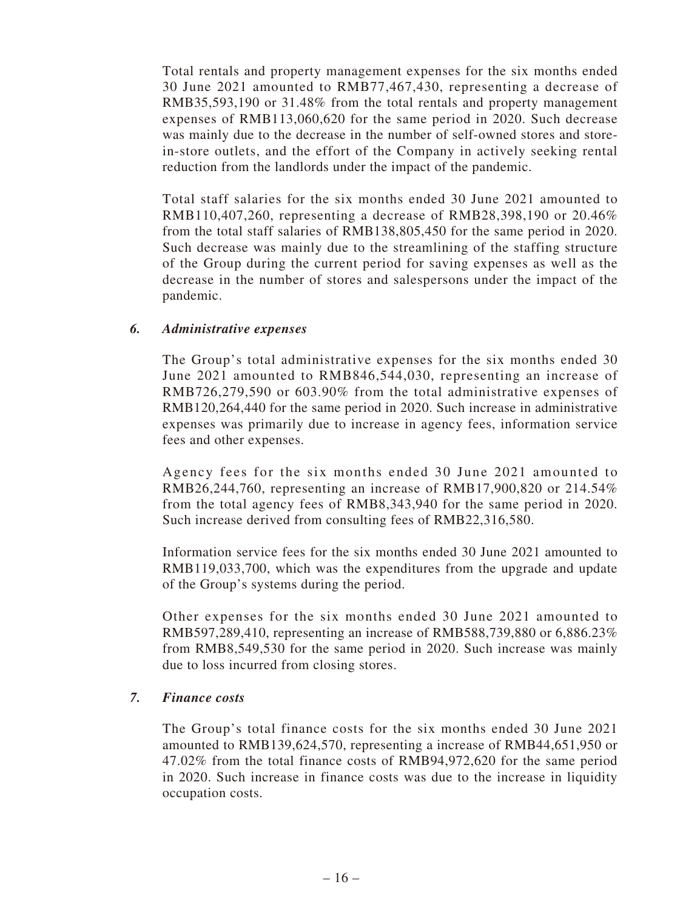Total rentals and property management expenses for the six months ended 30 June 2021 amounted to RMB77,467,430, representing a decrease of RMB35,593,190 or 31.48% from the total rentals and property management expenses of RMB113,060,620 for the same period in 2020. Such decrease was mainly due to the decrease in the number of self-owned stores and storein-store outlets, and the effort of the Company in actively seeking rental reduction from the landlords under the impact of the pandemic.

Total staff salaries for the six months ended 30 June 2021 amounted to RMB110,407,260, representing a decrease of RMB28,398,190 or 20.46% from the total staff salaries of RMB138,805,450 for the same period in 2020. Such decrease was mainly due to the streamlining of the staffing structure of the Group during the current period for saving expenses as well as the decrease in the number of stores and salespersons under the impact of the pandemic.

### *6. Administrative expenses*

The Group's total administrative expenses for the six months ended 30 June 2021 amounted to RMB846,544,030, representing an increase of RMB726,279,590 or 603.90% from the total administrative expenses of RMB120,264,440 for the same period in 2020. Such increase in administrative expenses was primarily due to increase in agency fees, information service fees and other expenses.

Agency fees for the six months ended 30 June 2021 amounted to RMB26,244,760, representing an increase of RMB17,900,820 or 214.54% from the total agency fees of RMB8,343,940 for the same period in 2020. Such increase derived from consulting fees of RMB22,316,580.

Information service fees for the six months ended 30 June 2021 amounted to RMB119,033,700, which was the expenditures from the upgrade and update of the Group's systems during the period.

Other expenses for the six months ended 30 June 2021 amounted to RMB597,289,410, representing an increase of RMB588,739,880 or 6,886.23% from RMB8,549,530 for the same period in 2020. Such increase was mainly due to loss incurred from closing stores.

#### *7. Finance costs*

The Group's total finance costs for the six months ended 30 June 2021 amounted to RMB139,624,570, representing a increase of RMB44,651,950 or 47.02% from the total finance costs of RMB94,972,620 for the same period in 2020. Such increase in finance costs was due to the increase in liquidity occupation costs.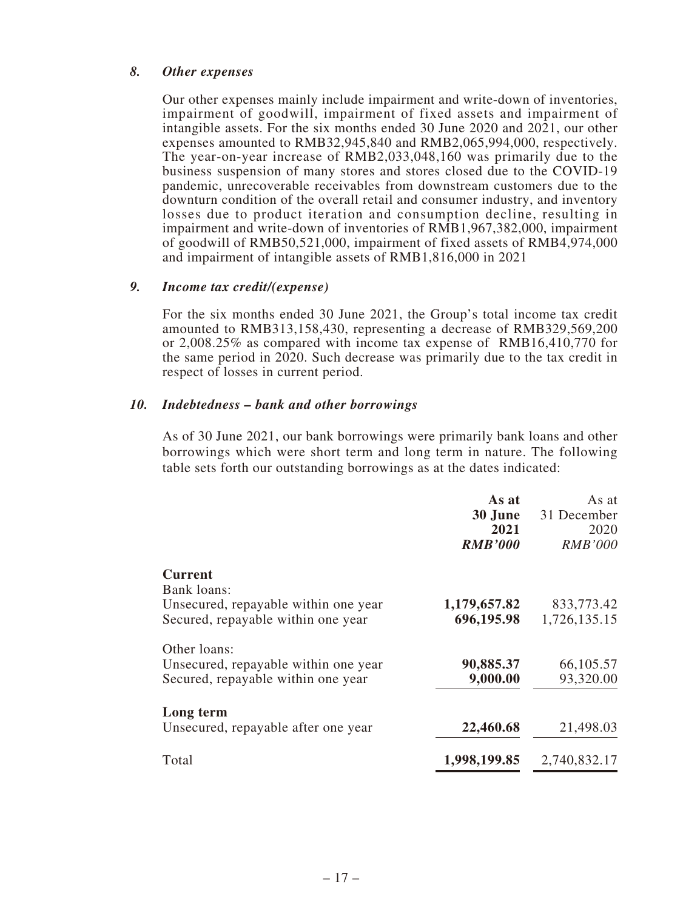### *8. Other expenses*

Our other expenses mainly include impairment and write-down of inventories, impairment of goodwill, impairment of fixed assets and impairment of intangible assets. For the six months ended 30 June 2020 and 2021, our other expenses amounted to RMB32,945,840 and RMB2,065,994,000, respectively. The year-on-year increase of RMB2,033,048,160 was primarily due to the business suspension of many stores and stores closed due to the COVID-19 pandemic, unrecoverable receivables from downstream customers due to the downturn condition of the overall retail and consumer industry, and inventory losses due to product iteration and consumption decline, resulting in impairment and write-down of inventories of RMB1,967,382,000, impairment of goodwill of RMB50,521,000, impairment of fixed assets of RMB4,974,000 and impairment of intangible assets of RMB1,816,000 in 2021

#### *9. Income tax credit/(expense)*

For the six months ended 30 June 2021, the Group's total income tax credit amounted to RMB313,158,430, representing a decrease of RMB329,569,200 or 2,008.25% as compared with income tax expense of RMB16,410,770 for the same period in 2020. Such decrease was primarily due to the tax credit in respect of losses in current period.

### *10. Indebtedness – bank and other borrowings*

As of 30 June 2021, our bank borrowings were primarily bank loans and other borrowings which were short term and long term in nature. The following table sets forth our outstanding borrowings as at the dates indicated:

|                                                                                                             | As at<br>30 June<br>2021<br><b>RMB'000</b> | As at<br>31 December<br>2020<br><i>RMB'000</i> |
|-------------------------------------------------------------------------------------------------------------|--------------------------------------------|------------------------------------------------|
| <b>Current</b><br>Bank loans:<br>Unsecured, repayable within one year<br>Secured, repayable within one year | 1,179,657.82<br>696,195.98                 | 833,773.42<br>1,726,135.15                     |
| Other loans:<br>Unsecured, repayable within one year<br>Secured, repayable within one year                  | 90,885.37<br>9,000.00                      | 66,105.57<br>93,320.00                         |
| Long term<br>Unsecured, repayable after one year                                                            | 22,460.68                                  | 21,498.03                                      |
| Total                                                                                                       | 1,998,199.85                               | 2,740,832.17                                   |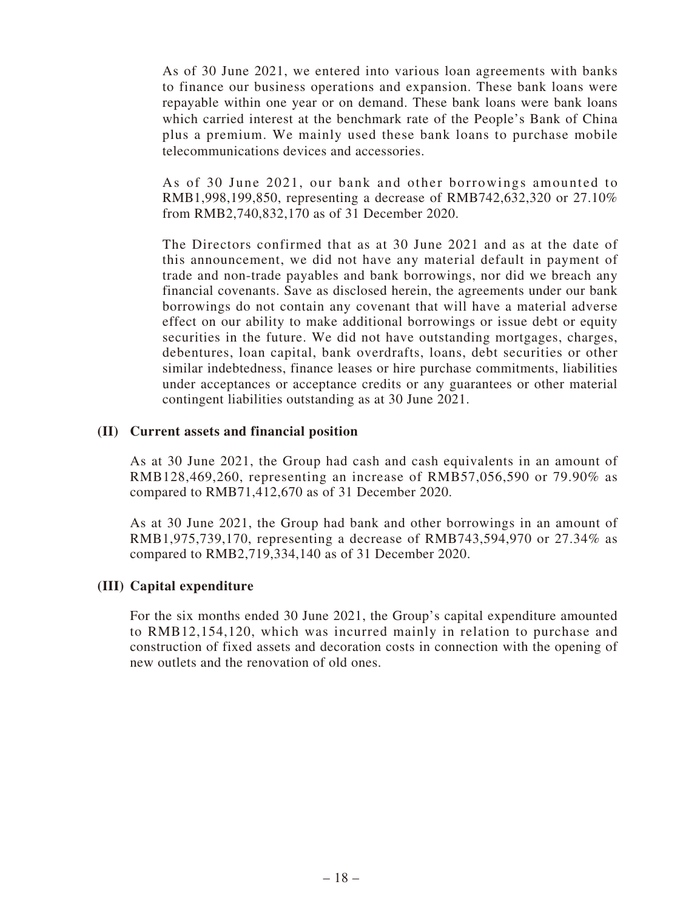As of 30 June 2021, we entered into various loan agreements with banks to finance our business operations and expansion. These bank loans were repayable within one year or on demand. These bank loans were bank loans which carried interest at the benchmark rate of the People's Bank of China plus a premium. We mainly used these bank loans to purchase mobile telecommunications devices and accessories.

As of 30 June 2021, our bank and other borrowings amounted to RMB1,998,199,850, representing a decrease of RMB742,632,320 or 27.10% from RMB2,740,832,170 as of 31 December 2020.

The Directors confirmed that as at 30 June 2021 and as at the date of this announcement, we did not have any material default in payment of trade and non-trade payables and bank borrowings, nor did we breach any financial covenants. Save as disclosed herein, the agreements under our bank borrowings do not contain any covenant that will have a material adverse effect on our ability to make additional borrowings or issue debt or equity securities in the future. We did not have outstanding mortgages, charges, debentures, loan capital, bank overdrafts, loans, debt securities or other similar indebtedness, finance leases or hire purchase commitments, liabilities under acceptances or acceptance credits or any guarantees or other material contingent liabilities outstanding as at 30 June 2021.

#### **(II) Current assets and financial position**

As at 30 June 2021, the Group had cash and cash equivalents in an amount of RMB128,469,260, representing an increase of RMB57,056,590 or 79.90% as compared to RMB71,412,670 as of 31 December 2020.

As at 30 June 2021, the Group had bank and other borrowings in an amount of RMB1,975,739,170, representing a decrease of RMB743,594,970 or 27.34% as compared to RMB2,719,334,140 as of 31 December 2020.

#### **(III) Capital expenditure**

For the six months ended 30 June 2021, the Group's capital expenditure amounted to RMB12,154,120, which was incurred mainly in relation to purchase and construction of fixed assets and decoration costs in connection with the opening of new outlets and the renovation of old ones.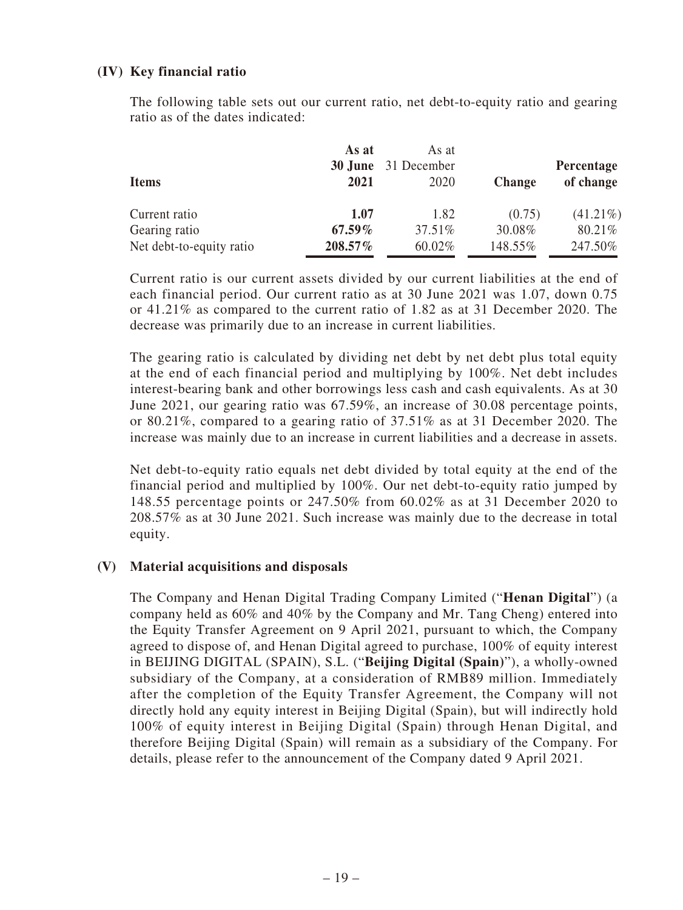## **(IV) Key financial ratio**

The following table sets out our current ratio, net debt-to-equity ratio and gearing ratio as of the dates indicated:

| <b>Items</b>             | As at<br>2021 | As at<br><b>30 June</b> 31 December<br>2020 | <b>Change</b> | Percentage<br>of change |
|--------------------------|---------------|---------------------------------------------|---------------|-------------------------|
| Current ratio            | 1.07          | 1.82                                        | (0.75)        | $(41.21\%)$             |
| Gearing ratio            | $67.59\%$     | 37.51%                                      | 30.08%        | 80.21%                  |
| Net debt-to-equity ratio | 208.57%       | 60.02%                                      | 148.55%       | 247.50%                 |

Current ratio is our current assets divided by our current liabilities at the end of each financial period. Our current ratio as at 30 June 2021 was 1.07, down 0.75 or 41.21% as compared to the current ratio of 1.82 as at 31 December 2020. The decrease was primarily due to an increase in current liabilities.

The gearing ratio is calculated by dividing net debt by net debt plus total equity at the end of each financial period and multiplying by 100%. Net debt includes interest-bearing bank and other borrowings less cash and cash equivalents. As at 30 June 2021, our gearing ratio was 67.59%, an increase of 30.08 percentage points, or 80.21%, compared to a gearing ratio of 37.51% as at 31 December 2020. The increase was mainly due to an increase in current liabilities and a decrease in assets.

Net debt-to-equity ratio equals net debt divided by total equity at the end of the financial period and multiplied by 100%. Our net debt-to-equity ratio jumped by 148.55 percentage points or 247.50% from 60.02% as at 31 December 2020 to 208.57% as at 30 June 2021. Such increase was mainly due to the decrease in total equity.

#### **(V) Material acquisitions and disposals**

The Company and Henan Digital Trading Company Limited ("**Henan Digital**") (a company held as 60% and 40% by the Company and Mr. Tang Cheng) entered into the Equity Transfer Agreement on 9 April 2021, pursuant to which, the Company agreed to dispose of, and Henan Digital agreed to purchase, 100% of equity interest in BEIJING DIGITAL (SPAIN), S.L. ("**Beijing Digital (Spain)**"), a wholly-owned subsidiary of the Company, at a consideration of RMB89 million. Immediately after the completion of the Equity Transfer Agreement, the Company will not directly hold any equity interest in Beijing Digital (Spain), but will indirectly hold 100% of equity interest in Beijing Digital (Spain) through Henan Digital, and therefore Beijing Digital (Spain) will remain as a subsidiary of the Company. For details, please refer to the announcement of the Company dated 9 April 2021.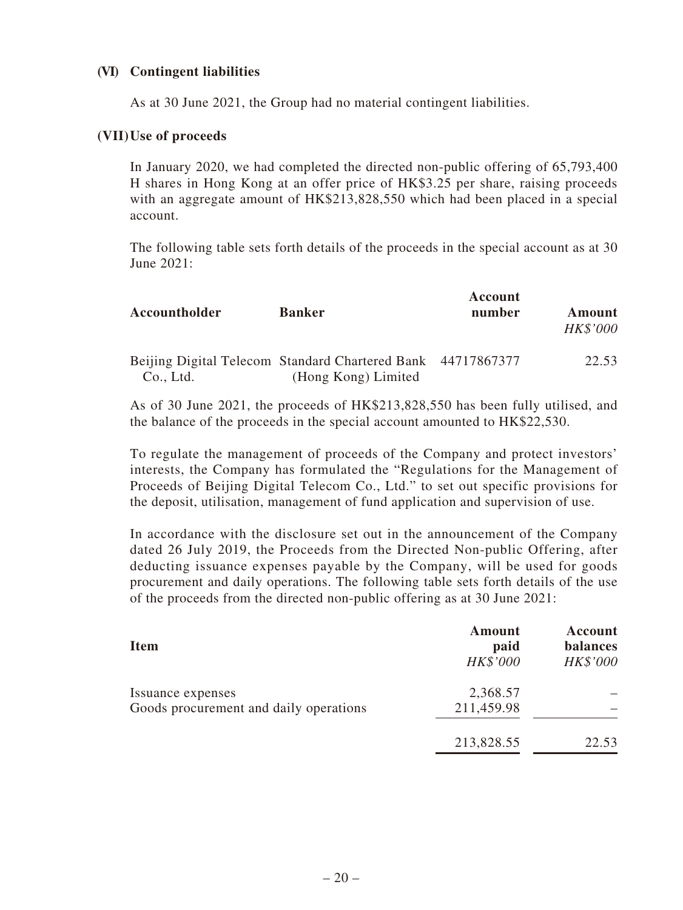## **(VI) Contingent liabilities**

As at 30 June 2021, the Group had no material contingent liabilities.

#### **(VII) Use of proceeds**

In January 2020, we had completed the directed non-public offering of 65,793,400 H shares in Hong Kong at an offer price of HK\$3.25 per share, raising proceeds with an aggregate amount of HK\$213,828,550 which had been placed in a special account.

The following table sets forth details of the proceeds in the special account as at 30 June 2021:

| Accountholder | <b>Banker</b>                                                                      | Account<br>number | <b>Amount</b><br><b>HK\$'000</b> |
|---------------|------------------------------------------------------------------------------------|-------------------|----------------------------------|
| Co., Ltd.     | Beijing Digital Telecom Standard Chartered Bank 44717867377<br>(Hong Kong) Limited |                   | 22.53                            |

As of 30 June 2021, the proceeds of HK\$213,828,550 has been fully utilised, and the balance of the proceeds in the special account amounted to HK\$22,530.

To regulate the management of proceeds of the Company and protect investors' interests, the Company has formulated the "Regulations for the Management of Proceeds of Beijing Digital Telecom Co., Ltd." to set out specific provisions for the deposit, utilisation, management of fund application and supervision of use.

In accordance with the disclosure set out in the announcement of the Company dated 26 July 2019, the Proceeds from the Directed Non-public Offering, after deducting issuance expenses payable by the Company, will be used for goods procurement and daily operations. The following table sets forth details of the use of the proceeds from the directed non-public offering as at 30 June 2021:

| <b>Item</b>                                                 | <b>Amount</b><br>paid<br>HK\$'000 | Account<br><b>balances</b><br>HK\$'000 |
|-------------------------------------------------------------|-----------------------------------|----------------------------------------|
| Issuance expenses<br>Goods procurement and daily operations | 2,368.57<br>211,459.98            |                                        |
|                                                             | 213,828.55                        | 22.53                                  |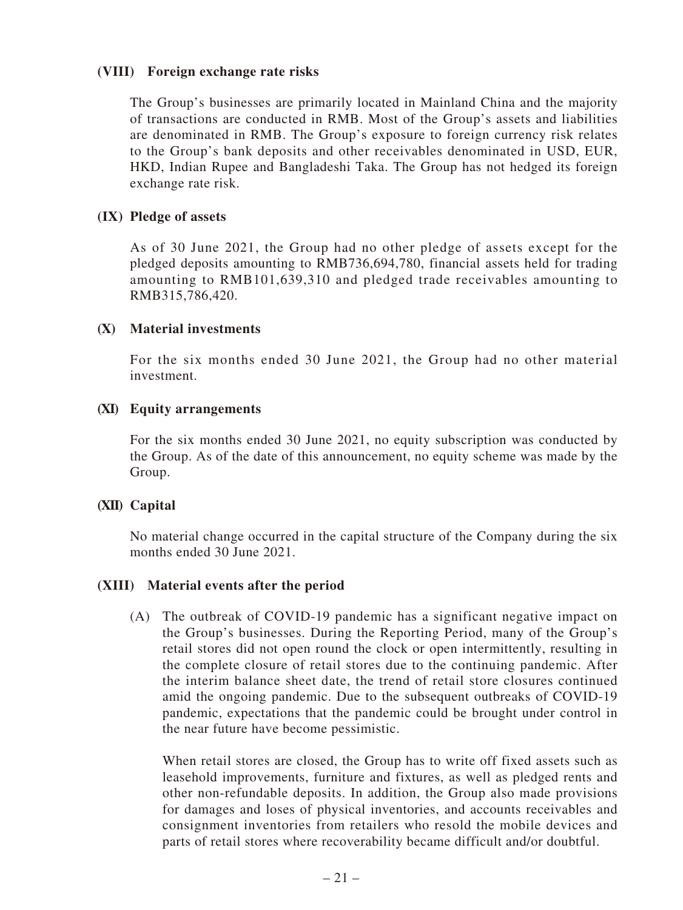### **(VIII) Foreign exchange rate risks**

The Group's businesses are primarily located in Mainland China and the majority of transactions are conducted in RMB. Most of the Group's assets and liabilities are denominated in RMB. The Group's exposure to foreign currency risk relates to the Group's bank deposits and other receivables denominated in USD, EUR, HKD, Indian Rupee and Bangladeshi Taka. The Group has not hedged its foreign exchange rate risk.

#### **(IX) Pledge of assets**

As of 30 June 2021, the Group had no other pledge of assets except for the pledged deposits amounting to RMB736,694,780, financial assets held for trading amounting to RMB101,639,310 and pledged trade receivables amounting to RMB315,786,420.

### **(X) Material investments**

For the six months ended 30 June 2021, the Group had no other material investment.

### **(XI) Equity arrangements**

For the six months ended 30 June 2021, no equity subscription was conducted by the Group. As of the date of this announcement, no equity scheme was made by the Group.

## **(XII) Capital**

No material change occurred in the capital structure of the Company during the six months ended 30 June 2021.

## **(XIII) Material events after the period**

(A) The outbreak of COVID-19 pandemic has a significant negative impact on the Group's businesses. During the Reporting Period, many of the Group's retail stores did not open round the clock or open intermittently, resulting in the complete closure of retail stores due to the continuing pandemic. After the interim balance sheet date, the trend of retail store closures continued amid the ongoing pandemic. Due to the subsequent outbreaks of COVID-19 pandemic, expectations that the pandemic could be brought under control in the near future have become pessimistic.

When retail stores are closed, the Group has to write off fixed assets such as leasehold improvements, furniture and fixtures, as well as pledged rents and other non-refundable deposits. In addition, the Group also made provisions for damages and loses of physical inventories, and accounts receivables and consignment inventories from retailers who resold the mobile devices and parts of retail stores where recoverability became difficult and/or doubtful.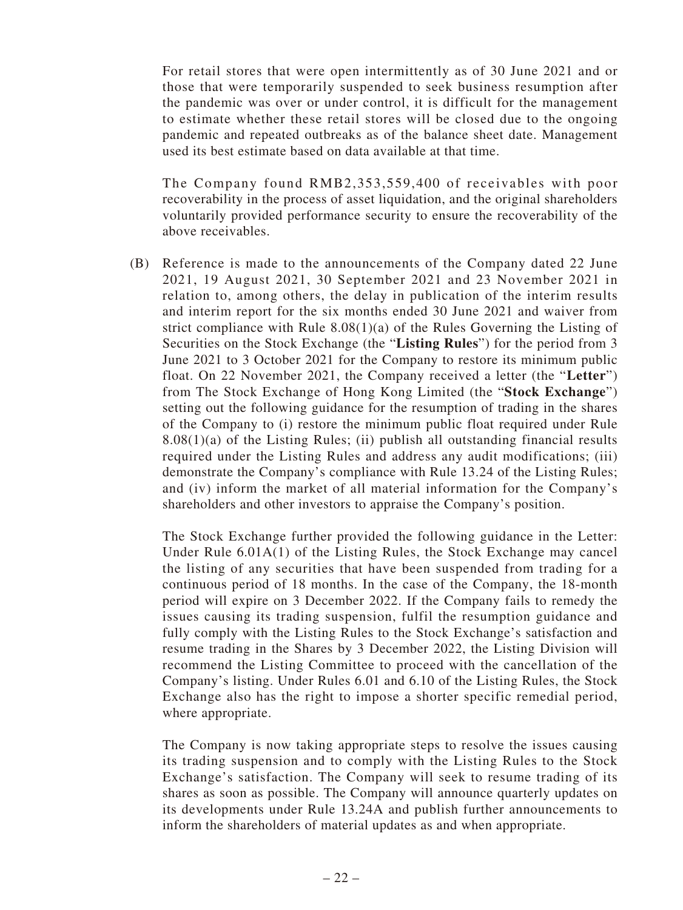For retail stores that were open intermittently as of 30 June 2021 and or those that were temporarily suspended to seek business resumption after the pandemic was over or under control, it is difficult for the management to estimate whether these retail stores will be closed due to the ongoing pandemic and repeated outbreaks as of the balance sheet date. Management used its best estimate based on data available at that time.

The Company found RMB2,353,559,400 of receivables with poor recoverability in the process of asset liquidation, and the original shareholders voluntarily provided performance security to ensure the recoverability of the above receivables.

(B) Reference is made to the announcements of the Company dated 22 June 2021, 19 August 2021, 30 September 2021 and 23 November 2021 in relation to, among others, the delay in publication of the interim results and interim report for the six months ended 30 June 2021 and waiver from strict compliance with Rule 8.08(1)(a) of the Rules Governing the Listing of Securities on the Stock Exchange (the "**Listing Rules**") for the period from 3 June 2021 to 3 October 2021 for the Company to restore its minimum public float. On 22 November 2021, the Company received a letter (the "**Letter**") from The Stock Exchange of Hong Kong Limited (the "**Stock Exchange**") setting out the following guidance for the resumption of trading in the shares of the Company to (i) restore the minimum public float required under Rule  $8.08(1)(a)$  of the Listing Rules; (ii) publish all outstanding financial results required under the Listing Rules and address any audit modifications; (iii) demonstrate the Company's compliance with Rule 13.24 of the Listing Rules; and (iv) inform the market of all material information for the Company's shareholders and other investors to appraise the Company's position.

The Stock Exchange further provided the following guidance in the Letter: Under Rule 6.01A(1) of the Listing Rules, the Stock Exchange may cancel the listing of any securities that have been suspended from trading for a continuous period of 18 months. In the case of the Company, the 18-month period will expire on 3 December 2022. If the Company fails to remedy the issues causing its trading suspension, fulfil the resumption guidance and fully comply with the Listing Rules to the Stock Exchange's satisfaction and resume trading in the Shares by 3 December 2022, the Listing Division will recommend the Listing Committee to proceed with the cancellation of the Company's listing. Under Rules 6.01 and 6.10 of the Listing Rules, the Stock Exchange also has the right to impose a shorter specific remedial period, where appropriate.

The Company is now taking appropriate steps to resolve the issues causing its trading suspension and to comply with the Listing Rules to the Stock Exchange's satisfaction. The Company will seek to resume trading of its shares as soon as possible. The Company will announce quarterly updates on its developments under Rule 13.24A and publish further announcements to inform the shareholders of material updates as and when appropriate.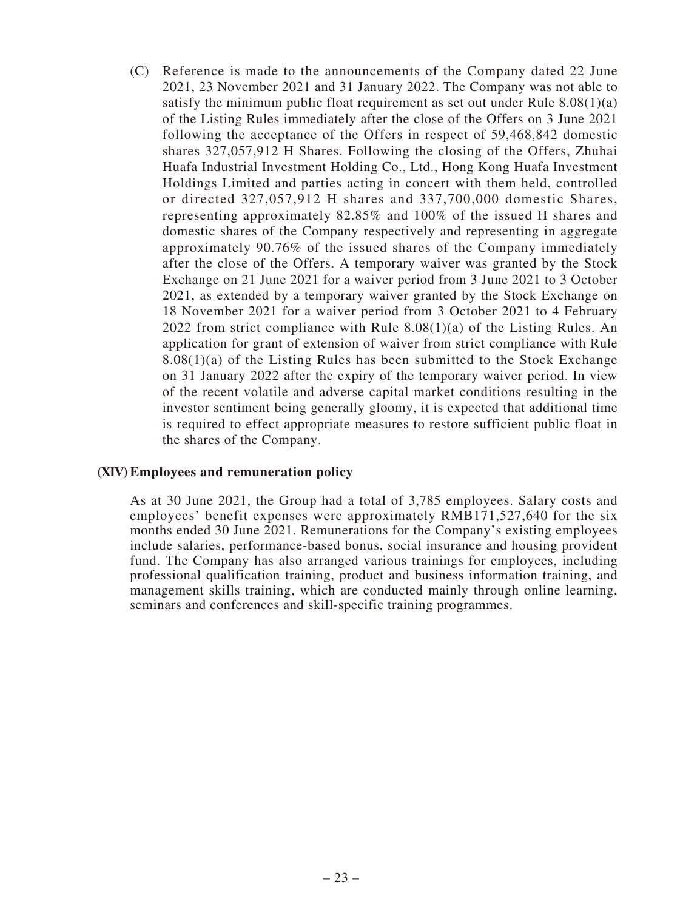(C) Reference is made to the announcements of the Company dated 22 June 2021, 23 November 2021 and 31 January 2022. The Company was not able to satisfy the minimum public float requirement as set out under Rule 8.08(1)(a) of the Listing Rules immediately after the close of the Offers on 3 June 2021 following the acceptance of the Offers in respect of 59,468,842 domestic shares 327,057,912 H Shares. Following the closing of the Offers, Zhuhai Huafa Industrial Investment Holding Co., Ltd., Hong Kong Huafa Investment Holdings Limited and parties acting in concert with them held, controlled or directed 327,057,912 H shares and 337,700,000 domestic Shares, representing approximately 82.85% and 100% of the issued H shares and domestic shares of the Company respectively and representing in aggregate approximately 90.76% of the issued shares of the Company immediately after the close of the Offers. A temporary waiver was granted by the Stock Exchange on 21 June 2021 for a waiver period from 3 June 2021 to 3 October 2021, as extended by a temporary waiver granted by the Stock Exchange on 18 November 2021 for a waiver period from 3 October 2021 to 4 February 2022 from strict compliance with Rule 8.08(1)(a) of the Listing Rules. An application for grant of extension of waiver from strict compliance with Rule  $8.08(1)(a)$  of the Listing Rules has been submitted to the Stock Exchange on 31 January 2022 after the expiry of the temporary waiver period. In view of the recent volatile and adverse capital market conditions resulting in the investor sentiment being generally gloomy, it is expected that additional time is required to effect appropriate measures to restore sufficient public float in the shares of the Company.

#### **(XIV) Employees and remuneration policy**

As at 30 June 2021, the Group had a total of 3,785 employees. Salary costs and employees' benefit expenses were approximately RMB171,527,640 for the six months ended 30 June 2021. Remunerations for the Company's existing employees include salaries, performance-based bonus, social insurance and housing provident fund. The Company has also arranged various trainings for employees, including professional qualification training, product and business information training, and management skills training, which are conducted mainly through online learning, seminars and conferences and skill-specific training programmes.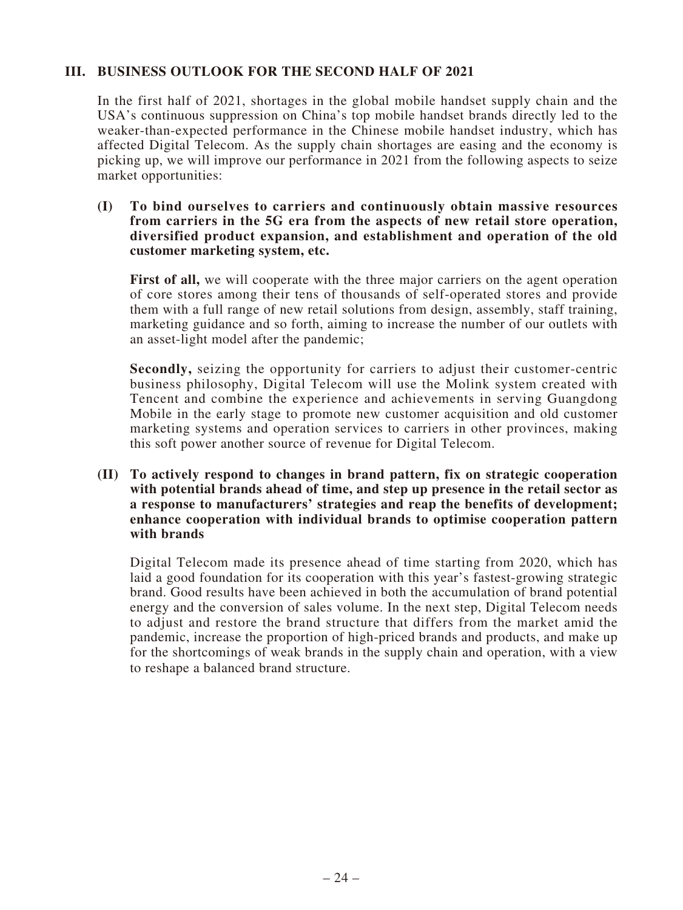## **III. BUSINESS OUTLOOK FOR THE SECOND HALF OF 2021**

In the first half of 2021, shortages in the global mobile handset supply chain and the USA's continuous suppression on China's top mobile handset brands directly led to the weaker-than-expected performance in the Chinese mobile handset industry, which has affected Digital Telecom. As the supply chain shortages are easing and the economy is picking up, we will improve our performance in 2021 from the following aspects to seize market opportunities:

#### **(I) To bind ourselves to carriers and continuously obtain massive resources from carriers in the 5G era from the aspects of new retail store operation, diversified product expansion, and establishment and operation of the old customer marketing system, etc.**

First of all, we will cooperate with the three major carriers on the agent operation of core stores among their tens of thousands of self-operated stores and provide them with a full range of new retail solutions from design, assembly, staff training, marketing guidance and so forth, aiming to increase the number of our outlets with an asset-light model after the pandemic;

**Secondly,** seizing the opportunity for carriers to adjust their customer-centric business philosophy, Digital Telecom will use the Molink system created with Tencent and combine the experience and achievements in serving Guangdong Mobile in the early stage to promote new customer acquisition and old customer marketing systems and operation services to carriers in other provinces, making this soft power another source of revenue for Digital Telecom.

#### **(II) To actively respond to changes in brand pattern, fix on strategic cooperation with potential brands ahead of time, and step up presence in the retail sector as a response to manufacturers' strategies and reap the benefits of development; enhance cooperation with individual brands to optimise cooperation pattern with brands**

Digital Telecom made its presence ahead of time starting from 2020, which has laid a good foundation for its cooperation with this year's fastest-growing strategic brand. Good results have been achieved in both the accumulation of brand potential energy and the conversion of sales volume. In the next step, Digital Telecom needs to adjust and restore the brand structure that differs from the market amid the pandemic, increase the proportion of high-priced brands and products, and make up for the shortcomings of weak brands in the supply chain and operation, with a view to reshape a balanced brand structure.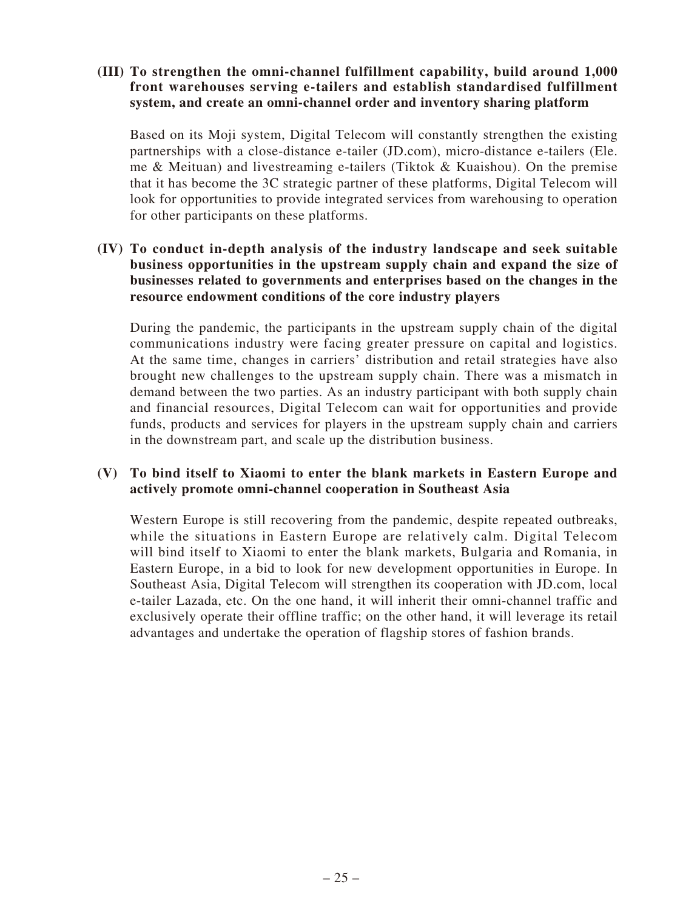### **(III) To strengthen the omni-channel fulfillment capability, build around 1,000 front warehouses serving e-tailers and establish standardised fulfillment system, and create an omni-channel order and inventory sharing platform**

Based on its Moji system, Digital Telecom will constantly strengthen the existing partnerships with a close-distance e-tailer (JD.com), micro-distance e-tailers (Ele. me & Meituan) and livestreaming e-tailers (Tiktok & Kuaishou). On the premise that it has become the 3C strategic partner of these platforms, Digital Telecom will look for opportunities to provide integrated services from warehousing to operation for other participants on these platforms.

## **(IV) To conduct in-depth analysis of the industry landscape and seek suitable business opportunities in the upstream supply chain and expand the size of businesses related to governments and enterprises based on the changes in the resource endowment conditions of the core industry players**

During the pandemic, the participants in the upstream supply chain of the digital communications industry were facing greater pressure on capital and logistics. At the same time, changes in carriers' distribution and retail strategies have also brought new challenges to the upstream supply chain. There was a mismatch in demand between the two parties. As an industry participant with both supply chain and financial resources, Digital Telecom can wait for opportunities and provide funds, products and services for players in the upstream supply chain and carriers in the downstream part, and scale up the distribution business.

## **(V) To bind itself to Xiaomi to enter the blank markets in Eastern Europe and actively promote omni-channel cooperation in Southeast Asia**

Western Europe is still recovering from the pandemic, despite repeated outbreaks, while the situations in Eastern Europe are relatively calm. Digital Telecom will bind itself to Xiaomi to enter the blank markets, Bulgaria and Romania, in Eastern Europe, in a bid to look for new development opportunities in Europe. In Southeast Asia, Digital Telecom will strengthen its cooperation with JD.com, local e-tailer Lazada, etc. On the one hand, it will inherit their omni-channel traffic and exclusively operate their offline traffic; on the other hand, it will leverage its retail advantages and undertake the operation of flagship stores of fashion brands.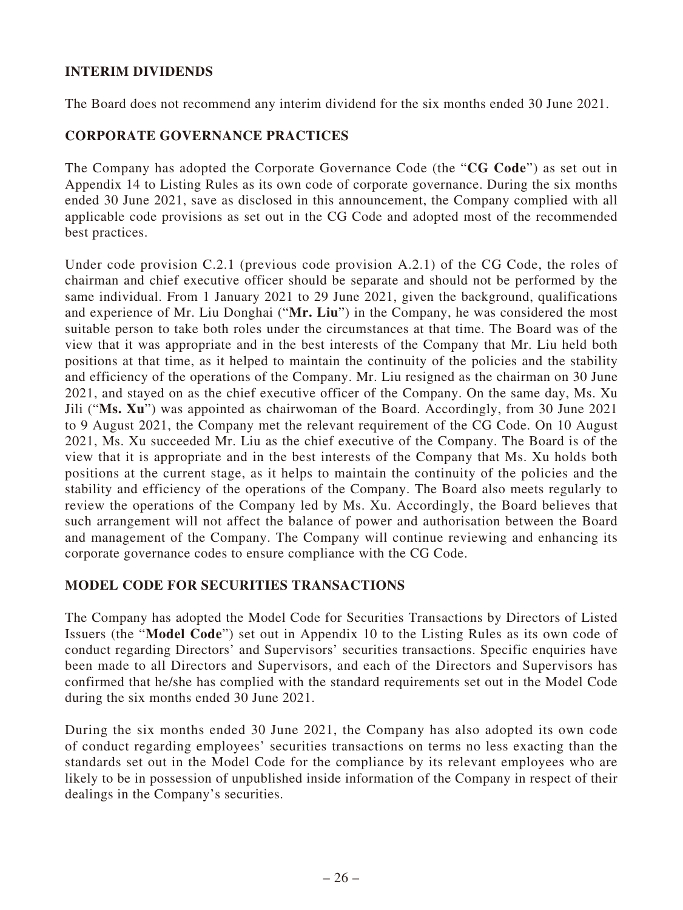# **INTERIM DIVIDENDS**

The Board does not recommend any interim dividend for the six months ended 30 June 2021.

## **CORPORATE GOVERNANCE PRACTICES**

The Company has adopted the Corporate Governance Code (the "**CG Code**") as set out in Appendix 14 to Listing Rules as its own code of corporate governance. During the six months ended 30 June 2021, save as disclosed in this announcement, the Company complied with all applicable code provisions as set out in the CG Code and adopted most of the recommended best practices.

Under code provision C.2.1 (previous code provision A.2.1) of the CG Code, the roles of chairman and chief executive officer should be separate and should not be performed by the same individual. From 1 January 2021 to 29 June 2021, given the background, qualifications and experience of Mr. Liu Donghai ("**Mr. Liu**") in the Company, he was considered the most suitable person to take both roles under the circumstances at that time. The Board was of the view that it was appropriate and in the best interests of the Company that Mr. Liu held both positions at that time, as it helped to maintain the continuity of the policies and the stability and efficiency of the operations of the Company. Mr. Liu resigned as the chairman on 30 June 2021, and stayed on as the chief executive officer of the Company. On the same day, Ms. Xu Jili ("**Ms. Xu**") was appointed as chairwoman of the Board. Accordingly, from 30 June 2021 to 9 August 2021, the Company met the relevant requirement of the CG Code. On 10 August 2021, Ms. Xu succeeded Mr. Liu as the chief executive of the Company. The Board is of the view that it is appropriate and in the best interests of the Company that Ms. Xu holds both positions at the current stage, as it helps to maintain the continuity of the policies and the stability and efficiency of the operations of the Company. The Board also meets regularly to review the operations of the Company led by Ms. Xu. Accordingly, the Board believes that such arrangement will not affect the balance of power and authorisation between the Board and management of the Company. The Company will continue reviewing and enhancing its corporate governance codes to ensure compliance with the CG Code.

## **MODEL CODE FOR SECURITIES TRANSACTIONS**

The Company has adopted the Model Code for Securities Transactions by Directors of Listed Issuers (the "**Model Code**") set out in Appendix 10 to the Listing Rules as its own code of conduct regarding Directors' and Supervisors' securities transactions. Specific enquiries have been made to all Directors and Supervisors, and each of the Directors and Supervisors has confirmed that he/she has complied with the standard requirements set out in the Model Code during the six months ended 30 June 2021.

During the six months ended 30 June 2021, the Company has also adopted its own code of conduct regarding employees' securities transactions on terms no less exacting than the standards set out in the Model Code for the compliance by its relevant employees who are likely to be in possession of unpublished inside information of the Company in respect of their dealings in the Company's securities.